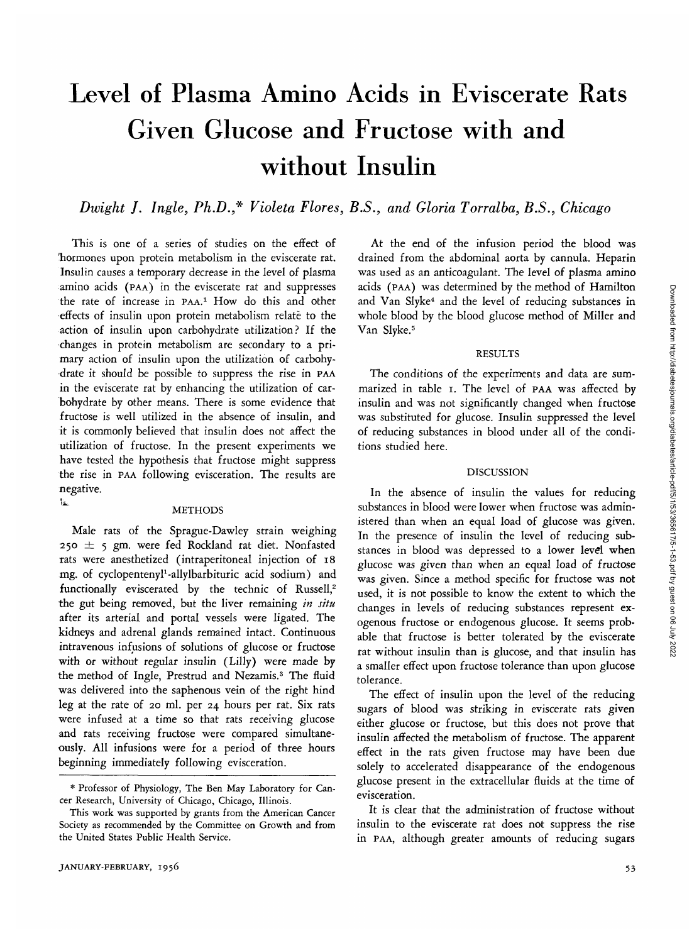# Level of Plasma Amino Acids in Eviscerate Rats Given Glucose and Fructose with and without Insulin

*Dwight J. Ingle, Ph.D.,\* Violeta Flores, B.S., and Gloria Torralba, B.S., Chicago*

This is one of a series of studies on the effect of 'hormones upon protein metabolism in the eviscerate rat. Insulin causes a temporary decrease in the level of plasma amino acids (PAA) in the eviscerate rat and suppresses the rate of increase in PAA.1 HOW do this and other effects of insulin upon protein metabolism relate to the action of insulin upon carbohydrate utilization? If the changes in protein metabolism are secondary to a primary action of insulin upon the utilization of carbohydrate it should be possible to suppress the rise in PAA in the eviscerate rat by enhancing the utilization of carbohydrate by other means. There is some evidence that fructose is well utilized in the absence of insulin, and it is commonly believed that insulin does not affect the utilization of fructose. In the present experiments we have tested the hypothesis that fructose might suppress the rise in PAA following evisceration. The results are negative.  $\mathbf{L}$ 

# **METHODS**

Male rats of the Sprague-Dawley strain weighing 250 *±* 5 gm. were fed Rockland rat diet. Nonfasted tats were anesthetized (intraperitoneal injection of 18 mg. of cyclopentenyl<sup>1</sup>-allylbarbituric acid sodium) and functionally eviscerated by the technic of Russell,<sup>2</sup> the gut being removed, but the liver remaining *in situ* after its arterial and portal vessels were ligated. The kidneys and adrenal glands remained intact. Continuous intravenous infusions of solutions of glucose or fructose with or without regular insulin (Lilly) were made by the method of Ingle, Prestrud and Nezamis.3 The fluid was delivered into the saphenous vein of the right hind leg at the rate of 20 ml. per 24 hours per rat. Six rats were infused at a time so that rats receiving glucose and rats receiving fructose were compared simultaneously. All infusions were for a period of three hours beginning immediately following evisceration.

At the end of the infusion period the blood was drained from the abdominal aorta by cannula. Heparin was used as an anticoagulant. The level of plasma amino acids (PAA) was determined by the method of Hamilton and Van Slyke<sup>4</sup> and the level of reducing substances in whole blood by the blood glucose method of Miller and Van Slyke.<sup>5</sup>

### RESULTS

The conditions of the experiments and data are summarized in table 1. The level of PAA was affected by insulin and was not significantly changed when fructose was substituted for glucose. Insulin suppressed the level of reducing substances in blood under all of the conditions studied here.

#### DISCUSSION

In the absence of insulin the values for reducing substances in blood were lower when fructose was administered than when an equal load of glucose was given. In the presence of insulin the level of reducing substances in blood was depressed to a lower level when glucose was given than when an equal load of fructose was given. Since a method specific for fructose was not used, it is not possible to know the extent to which the changes in levels of reducing substances represent exogenous fructose or endogenous glucose. It seems probable that fructose is better tolerated by the eviscerate rat without insulin than is glucose, and that insulin has a smaller effect upon fructose tolerance than upon glucose tolerance.

The effect of insulin upon the level of the reducing sugars of blood was striking in eviscerate rats given either glucose or fructose, but this does not prove that insulin affected the metabolism of fructose. The apparent effect in the rats given fructose may have been due solely to accelerated disappearance of the endogenous glucose present in the extracellular fluids at the time of evisceration.

It is clear that the administration of fructose without insulin to the eviscerate rat does not suppress the rise in PAA, although greater amounts of reducing sugars

<sup>\*</sup> Professor of Physiology, The Ben May Laboratory for Cancer Research, University of Chicago, Chicago, Illinois.

This work was supported by grants from the American Cancer Society as recommended by the Committee on Growth and from the United States Public Health Service.